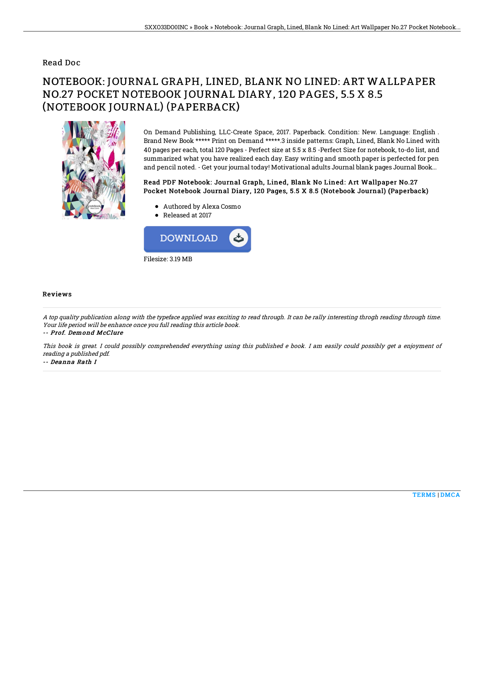### Read Doc

# NOTEBOOK: JOURNAL GRAPH, LINED, BLANK NO LINED: ART WALLPAPER NO.27 POCKET NOTEBOOK JOURNAL DIARY, 120 PAGES, 5.5 X 8.5 (NOTEBOOK JOURNAL) (PAPERBACK)



On Demand Publishing, LLC-Create Space, 2017. Paperback. Condition: New. Language: English . Brand New Book \*\*\*\*\* Print on Demand \*\*\*\*\*.3 inside patterns: Graph, Lined, Blank No Lined with 40 pages per each, total 120 Pages - Perfect size at 5.5 x 8.5 -Perfect Size for notebook, to-do list, and summarized what you have realized each day. Easy writing and smooth paper is perfected for pen and pencil noted. - Get your journal today! Motivational adults Journal blank pages Journal Book...

#### Read PDF Notebook: Journal Graph, Lined, Blank No Lined: Art Wallpaper No.27 Pocket Notebook Journal Diary, 120 Pages, 5.5 X 8.5 (Notebook Journal) (Paperback)

- Authored by Alexa Cosmo
- Released at 2017



#### Reviews

A top quality publication along with the typeface applied was exciting to read through. It can be rally interesting throgh reading through time. Your life period will be enhance once you full reading this article book.

-- Prof. Demond McClure

This book is great. I could possibly comprehended everything using this published <sup>e</sup> book. I am easily could possibly get <sup>a</sup> enjoyment of reading <sup>a</sup> published pdf.

-- Deanna Rath I